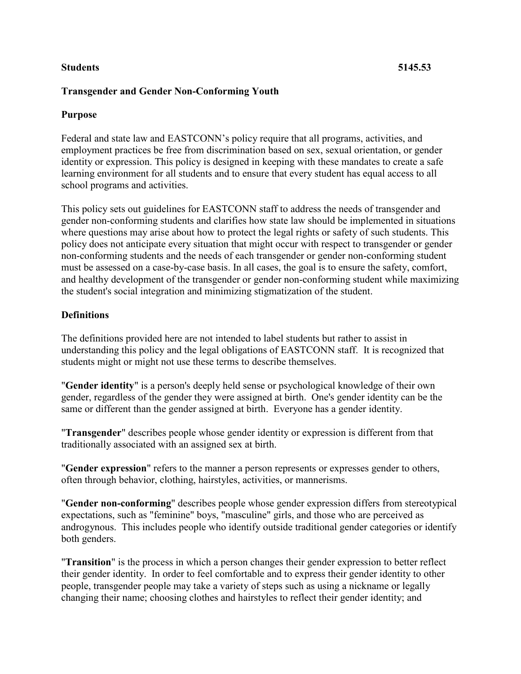### **Students 5145.53**

# **Transgender and Gender Non-Conforming Youth**

# **Purpose**

Federal and state law and EASTCONN's policy require that all programs, activities, and employment practices be free from discrimination based on sex, sexual orientation, or gender identity or expression. This policy is designed in keeping with these mandates to create a safe learning environment for all students and to ensure that every student has equal access to all school programs and activities.

This policy sets out guidelines for EASTCONN staff to address the needs of transgender and gender non-conforming students and clarifies how state law should be implemented in situations where questions may arise about how to protect the legal rights or safety of such students. This policy does not anticipate every situation that might occur with respect to transgender or gender non-conforming students and the needs of each transgender or gender non-conforming student must be assessed on a case-by-case basis. In all cases, the goal is to ensure the safety, comfort, and healthy development of the transgender or gender non-conforming student while maximizing the student's social integration and minimizing stigmatization of the student.

# **Definitions**

The definitions provided here are not intended to label students but rather to assist in understanding this policy and the legal obligations of EASTCONN staff. It is recognized that students might or might not use these terms to describe themselves.

"**Gender identity**" is a person's deeply held sense or psychological knowledge of their own gender, regardless of the gender they were assigned at birth. One's gender identity can be the same or different than the gender assigned at birth. Everyone has a gender identity.

"**Transgender**" describes people whose gender identity or expression is different from that traditionally associated with an assigned sex at birth.

"**Gender expression**" refers to the manner a person represents or expresses gender to others, often through behavior, clothing, hairstyles, activities, or mannerisms.

"**Gender non-conforming**" describes people whose gender expression differs from stereotypical expectations, such as "feminine" boys, "masculine" girls, and those who are perceived as androgynous. This includes people who identify outside traditional gender categories or identify both genders.

"**Transition**" is the process in which a person changes their gender expression to better reflect their gender identity. In order to feel comfortable and to express their gender identity to other people, transgender people may take a variety of steps such as using a nickname or legally changing their name; choosing clothes and hairstyles to reflect their gender identity; and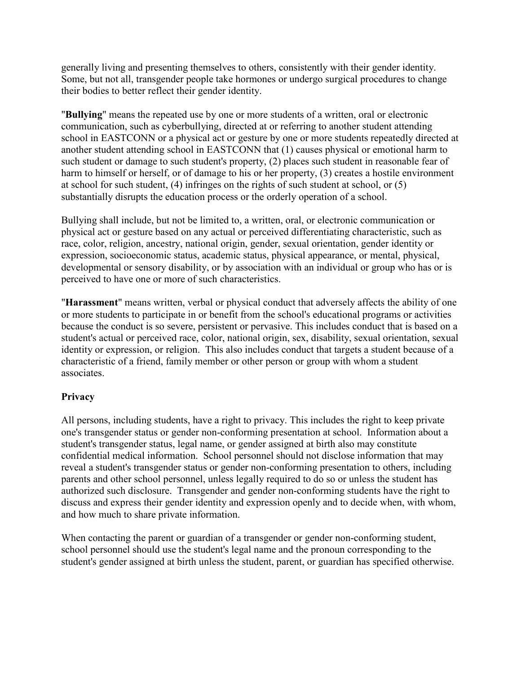generally living and presenting themselves to others, consistently with their gender identity. Some, but not all, transgender people take hormones or undergo surgical procedures to change their bodies to better reflect their gender identity.

"**Bullying**" means the repeated use by one or more students of a written, oral or electronic communication, such as cyberbullying, directed at or referring to another student attending school in EASTCONN or a physical act or gesture by one or more students repeatedly directed at another student attending school in EASTCONN that (1) causes physical or emotional harm to such student or damage to such student's property, (2) places such student in reasonable fear of harm to himself or herself, or of damage to his or her property, (3) creates a hostile environment at school for such student, (4) infringes on the rights of such student at school, or (5) substantially disrupts the education process or the orderly operation of a school.

Bullying shall include, but not be limited to, a written, oral, or electronic communication or physical act or gesture based on any actual or perceived differentiating characteristic, such as race, color, religion, ancestry, national origin, gender, sexual orientation, gender identity or expression, socioeconomic status, academic status, physical appearance, or mental, physical, developmental or sensory disability, or by association with an individual or group who has or is perceived to have one or more of such characteristics.

"**Harassment**" means written, verbal or physical conduct that adversely affects the ability of one or more students to participate in or benefit from the school's educational programs or activities because the conduct is so severe, persistent or pervasive. This includes conduct that is based on a student's actual or perceived race, color, national origin, sex, disability, sexual orientation, sexual identity or expression, or religion. This also includes conduct that targets a student because of a characteristic of a friend, family member or other person or group with whom a student associates.

# **Privacy**

All persons, including students, have a right to privacy. This includes the right to keep private one's transgender status or gender non-conforming presentation at school. Information about a student's transgender status, legal name, or gender assigned at birth also may constitute confidential medical information. School personnel should not disclose information that may reveal a student's transgender status or gender non-conforming presentation to others, including parents and other school personnel, unless legally required to do so or unless the student has authorized such disclosure. Transgender and gender non-conforming students have the right to discuss and express their gender identity and expression openly and to decide when, with whom, and how much to share private information.

When contacting the parent or guardian of a transgender or gender non-conforming student, school personnel should use the student's legal name and the pronoun corresponding to the student's gender assigned at birth unless the student, parent, or guardian has specified otherwise.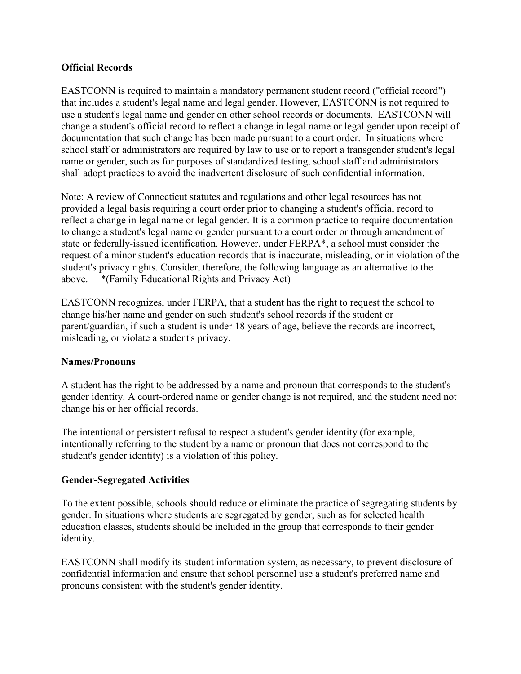## **Official Records**

EASTCONN is required to maintain a mandatory permanent student record ("official record") that includes a student's legal name and legal gender. However, EASTCONN is not required to use a student's legal name and gender on other school records or documents. EASTCONN will change a student's official record to reflect a change in legal name or legal gender upon receipt of documentation that such change has been made pursuant to a court order. In situations where school staff or administrators are required by law to use or to report a transgender student's legal name or gender, such as for purposes of standardized testing, school staff and administrators shall adopt practices to avoid the inadvertent disclosure of such confidential information.

Note: A review of Connecticut statutes and regulations and other legal resources has not provided a legal basis requiring a court order prior to changing a student's official record to reflect a change in legal name or legal gender. It is a common practice to require documentation to change a student's legal name or gender pursuant to a court order or through amendment of state or federally-issued identification. However, under FERPA\*, a school must consider the request of a minor student's education records that is inaccurate, misleading, or in violation of the student's privacy rights. Consider, therefore, the following language as an alternative to the above. \*(Family Educational Rights and Privacy Act)

EASTCONN recognizes, under FERPA, that a student has the right to request the school to change his/her name and gender on such student's school records if the student or parent/guardian, if such a student is under 18 years of age, believe the records are incorrect, misleading, or violate a student's privacy.

### **Names/Pronouns**

A student has the right to be addressed by a name and pronoun that corresponds to the student's gender identity. A court-ordered name or gender change is not required, and the student need not change his or her official records.

The intentional or persistent refusal to respect a student's gender identity (for example, intentionally referring to the student by a name or pronoun that does not correspond to the student's gender identity) is a violation of this policy.

# **Gender-Segregated Activities**

To the extent possible, schools should reduce or eliminate the practice of segregating students by gender. In situations where students are segregated by gender, such as for selected health education classes, students should be included in the group that corresponds to their gender identity.

EASTCONN shall modify its student information system, as necessary, to prevent disclosure of confidential information and ensure that school personnel use a student's preferred name and pronouns consistent with the student's gender identity.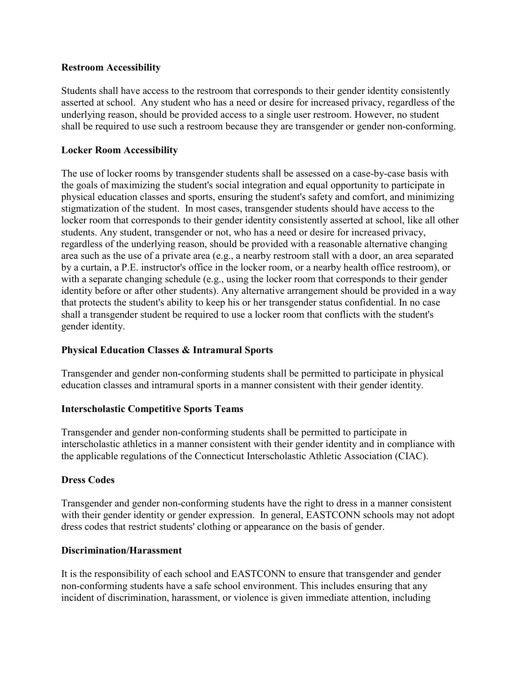### **Restroom Accessibility**

Students shall have access to the restroom that corresponds to their gender identity consistently asserted at school. Any student who has a need or desire for increased privacy, regardless of the underlying reason, should be provided access to a single user restroom. However, no student shall be required to use such a restroom because they are transgender or gender non-conforming.

## **Locker Room Accessibility**

The use of locker rooms by transgender students shall be assessed on a case-by-case basis with the goals of maximizing the student's social integration and equal opportunity to participate in physical education classes and sports, ensuring the student's safety and comfort, and minimizing stigmatization of the student. In most cases, transgender students should have access to the locker room that corresponds to their gender identity consistently asserted at school, like all other students. Any student, transgender or not, who has a need or desire for increased privacy, regardless of the underlying reason, should be provided with a reasonable alternative changing area such as the use of a private area (e.g., a nearby restroom stall with a door, an area separated by a curtain, a P.E. instructor's office in the locker room, or a nearby health office restroom), or with a separate changing schedule (e.g., using the locker room that corresponds to their gender identity before or after other students). Any alternative arrangement should be provided in a way that protects the student's ability to keep his or her transgender status confidential. In no case shall a transgender student be required to use a locker room that conflicts with the student's gender identity.

# **Physical Education Classes & Intramural Sports**

Transgender and gender non-conforming students shall be permitted to participate in physical education classes and intramural sports in a manner consistent with their gender identity.

### **Interscholastic Competitive Sports Teams**

Transgender and gender non-conforming students shall be permitted to participate in interscholastic athletics in a manner consistent with their gender identity and in compliance with the applicable regulations of the Connecticut Interscholastic Athletic Association (CIAC).

### **Dress Codes**

Transgender and gender non-conforming students have the right to dress in a manner consistent with their gender identity or gender expression. In general, EASTCONN schools may not adopt dress codes that restrict students' clothing or appearance on the basis of gender.

### **Discrimination/Harassment**

It is the responsibility of each school and EASTCONN to ensure that transgender and gender non-conforming students have a safe school environment. This includes ensuring that any incident of discrimination, harassment, or violence is given immediate attention, including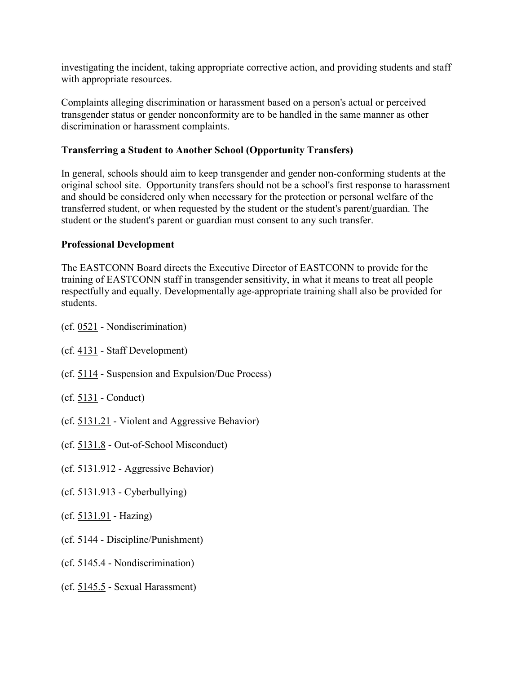investigating the incident, taking appropriate corrective action, and providing students and staff with appropriate resources.

Complaints alleging discrimination or harassment based on a person's actual or perceived transgender status or gender nonconformity are to be handled in the same manner as other discrimination or harassment complaints.

## **Transferring a Student to Another School (Opportunity Transfers)**

In general, schools should aim to keep transgender and gender non-conforming students at the original school site. Opportunity transfers should not be a school's first response to harassment and should be considered only when necessary for the protection or personal welfare of the transferred student, or when requested by the student or the student's parent/guardian. The student or the student's parent or guardian must consent to any such transfer.

### **Professional Development**

The EASTCONN Board directs the Executive Director of EASTCONN to provide for the training of EASTCONN staff in transgender sensitivity, in what it means to treat all people respectfully and equally. Developmentally age-appropriate training shall also be provided for students.

- (cf. [0521](http://z2policy.cabe.org/cabe/DocViewer.jsp?docid=10&z2collection=core#JD_0521) Nondiscrimination)
- (cf. [4131](http://z2policy.cabe.org/cabe/DocViewer.jsp?docid=199&z2collection=core#JD_4131) Staff Development)
- (cf. [5114](http://z2policy.cabe.org/cabe/DocViewer.jsp?docid=236&z2collection=core#JD_5114) Suspension and Expulsion/Due Process)
- (cf. [5131](http://z2policy.cabe.org/cabe/DocViewer.jsp?docid=267&z2collection=core#JD_5131) Conduct)
- (cf. [5131.21](http://z2policy.cabe.org/cabe/DocViewer.jsp?docid=270&z2collection=core#JD_5131.21) Violent and Aggressive Behavior)
- (cf. [5131.8](http://z2policy.cabe.org/cabe/DocViewer.jsp?docid=276&z2collection=core#JD_5131.8) Out-of-School Misconduct)
- (cf. 5131.912 Aggressive Behavior)
- (cf. 5131.913 Cyberbullying)
- (cf. [5131.91](http://z2policy.cabe.org/cabe/DocViewer.jsp?docid=280&z2collection=core#JD_5131.91) Hazing)
- (cf. 5144 Discipline/Punishment)
- (cf. 5145.4 Nondiscrimination)
- (cf. [5145.5](http://z2policy.cabe.org/cabe/DocViewer.jsp?docid=338&z2collection=core#JD_5145.5) Sexual Harassment)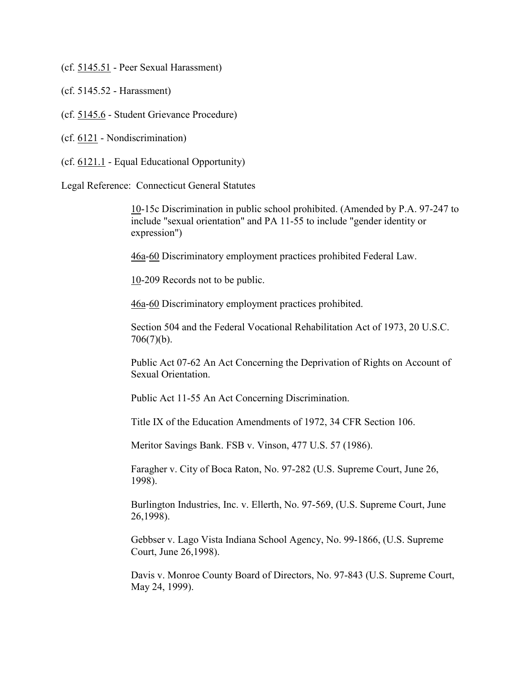(cf. [5145.51](http://z2policy.cabe.org/cabe/DocViewer.jsp?docid=339&z2collection=core#JD_5145.51) - Peer Sexual Harassment)

- (cf. 5145.52 Harassment)
- (cf. [5145.6](http://z2policy.cabe.org/cabe/DocViewer.jsp?docid=343&z2collection=core#JD_5145.6) Student Grievance Procedure)
- (cf. [6121](http://z2policy.cabe.org/cabe/DocViewer.jsp?docid=368&z2collection=core#JD_6121) Nondiscrimination)
- (cf. [6121.1](http://z2policy.cabe.org/cabe/DocViewer.jsp?docid=369&z2collection=core#JD_6121.1) Equal Educational Opportunity)

Legal Reference: Connecticut General Statutes

[10-](http://www.cga.ct.gov/2011/pub/Title10.htm)15c Discrimination in public school prohibited. (Amended by P.A. 97-247 to include "sexual orientation" and PA 11-55 to include "gender identity or expression")

[46a-](http://www.cga.ct.gov/2011/pub/Title46a.htm)[60](http://www.cga.ct.gov/2011/pub/Title60.htm) Discriminatory employment practices prohibited Federal Law.

[10-](http://www.cga.ct.gov/2011/pub/Title10.htm)209 Records not to be public.

[46a-](http://www.cga.ct.gov/2011/pub/Title46a.htm)[60](http://www.cga.ct.gov/2011/pub/Title60.htm) Discriminatory employment practices prohibited.

Section 504 and the Federal Vocational Rehabilitation Act of 1973, 20 U.S.C. 706(7)(b).

Public Act 07-62 An Act Concerning the Deprivation of Rights on Account of Sexual Orientation.

Public Act 11-55 An Act Concerning Discrimination.

Title IX of the Education Amendments of 1972, 34 CFR Section 106.

Meritor Savings Bank. FSB v. Vinson, 477 U.S. 57 (1986).

Faragher v. City of Boca Raton, No. 97-282 (U.S. Supreme Court, June 26, 1998).

Burlington Industries, Inc. v. Ellerth, No. 97-569, (U.S. Supreme Court, June 26,1998).

Gebbser v. Lago Vista Indiana School Agency, No. 99-1866, (U.S. Supreme Court, June 26,1998).

Davis v. Monroe County Board of Directors, No. 97-843 (U.S. Supreme Court, May 24, 1999).